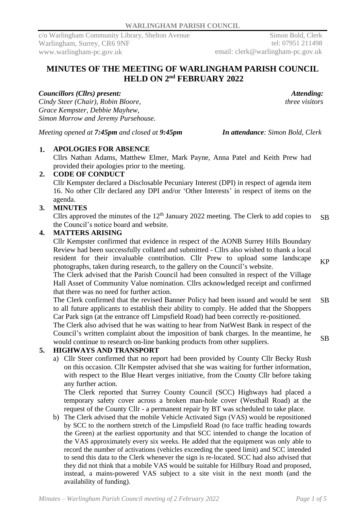Simon Bold, Clerk tel: 07951 211498 email: clerk@warlingham-pc.gov.uk

# **MINUTES OF THE MEETING OF WARLINGHAM PARISH COUNCIL HELD ON 2 nd FEBRUARY 2022**

## *Councillors (Cllrs) present:*

*Cindy Steer (Chair), Robin Bloore, Grace Kempster, Debbie Mayhew, Simon Morrow and Jeremy Pursehouse.*

*Meeting opened at 7:45pm and closed at 9:45pm In attendance: Simon Bold, Clerk*

## **1. APOLOGIES FOR ABSENCE**

Cllrs Nathan Adams, Matthew Elmer, Mark Payne, Anna Patel and Keith Prew had provided their apologies prior to the meeting.

## **2. CODE OF CONDUCT**

Cllr Kempster declared a Disclosable Pecuniary Interest (DPI) in respect of agenda item 16. No other Cllr declared any DPI and/or 'Other Interests' in respect of items on the agenda.

## **3. MINUTES**

Cllrs approved the minutes of the  $12<sup>th</sup>$  January 2022 meeting. The Clerk to add copies to the Council's notice board and website. SB

## **4. MATTERS ARISING**

Cllr Kempster confirmed that evidence in respect of the AONB Surrey Hills Boundary Review had been successfully collated and submitted - Cllrs also wished to thank a local resident for their invaluable contribution. Cllr Prew to upload some landscape photographs, taken during research, to the gallery on the Council's website.

The Clerk advised that the Parish Council had been consulted in respect of the Village Hall Asset of Community Value nomination. Cllrs acknowledged receipt and confirmed that there was no need for further action.

The Clerk confirmed that the revised Banner Policy had been issued and would be sent to all future applicants to establish their ability to comply. He added that the Shoppers Car Park sign (at the entrance off Limpsfield Road) had been correctly re-positioned. The Clerk also advised that he was waiting to hear from NatWest Bank in respect of the Council's written complaint about the imposition of bank charges. In the meantime, he would continue to research on-line banking products from other suppliers. SB SB

# **5. HIGHWAYS AND TRANSPORT**

a) Cllr Steer confirmed that no report had been provided by County Cllr Becky Rush on this occasion. Cllr Kempster advised that she was waiting for further information, with respect to the Blue Heart verges initiative, from the County Cllr before taking any further action.

The Clerk reported that Surrey County Council (SCC) Highways had placed a temporary safety cover across a broken man-hole cover (Westhall Road) at the request of the County Cllr - a permanent repair by BT was scheduled to take place.

b) The Clerk advised that the mobile Vehicle Activated Sign (VAS) would be repositioned by SCC to the northern stretch of the Limpsfield Road (to face traffic heading towards the Green) at the earliest opportunity and that SCC intended to change the location of the VAS approximately every six weeks. He added that the equipment was only able to record the number of activations (vehicles exceeding the speed limit) and SCC intended to send this data to the Clerk whenever the sign is re-located. SCC had also advised that they did not think that a mobile VAS would be suitable for Hillbury Road and proposed, instead, a mains-powered VAS subject to a site visit in the next month (and the availability of funding).

KP

*Attending: three visitors*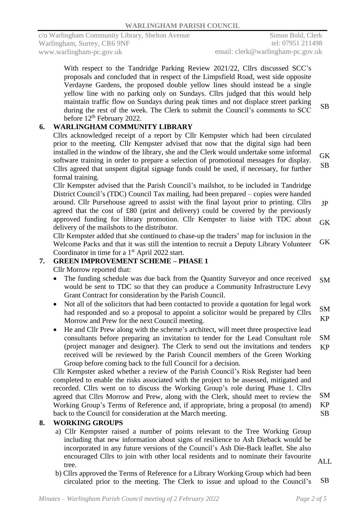With respect to the Tandridge Parking Review 2021/22, Cllrs discussed SCC's proposals and concluded that in respect of the Limpsfield Road, west side opposite Verdayne Gardens, the proposed double yellow lines should instead be a single yellow line with no parking only on Sundays. Cllrs judged that this would help maintain traffic flow on Sundays during peak times and not displace street parking during the rest of the week. The Clerk to submit the Council's comments to SCC before  $12<sup>th</sup>$  February 2022. SB

## **6. WARLINGHAM COMMUNITY LIBRARY**

Cllrs acknowledged receipt of a report by Cllr Kempster which had been circulated prior to the meeting. Cllr Kempster advised that now that the digital sign had been installed in the window of the library, she and the Clerk would undertake some informal software training in order to prepare a selection of promotional messages for display. Cllrs agreed that unspent digital signage funds could be used, if necessary, for further formal training. **GK** SB

Cllr Kempster advised that the Parish Council's mailshot, to be included in Tandridge District Council's (TDC) Council Tax mailing, had been prepared – copies were handed around. Cllr Pursehouse agreed to assist with the final layout prior to printing. Cllrs agreed that the cost of £80 (print and delivery) could be covered by the previously approved funding for library promotion. Cllr Kempster to liaise with TDC about delivery of the mailshots to the distributor. JP GK

Cllr Kempster added that she continued to chase-up the traders' map for inclusion in the Welcome Packs and that it was still the intention to recruit a Deputy Library Volunteer Coordinator in time for a 1<sup>st</sup> April 2022 start. GK

# **7. GREEN IMPROVEMENT SCHEME – PHASE 1**

Cllr Morrow reported that:

- The funding schedule was due back from the Quantity Surveyor and once received would be sent to TDC so that they can produce a Community Infrastructure Levy Grant Contract for consideration by the Parish Council. SM
- Not all of the solicitors that had been contacted to provide a quotation for legal work had responded and so a proposal to appoint a solicitor would be prepared by Cllrs Morrow and Prew for the next Council meeting. SM KP
- He and Cllr Prew along with the scheme's architect, will meet three prospective lead consultants before preparing an invitation to tender for the Lead Consultant role (project manager and designer). The Clerk to send out the invitations and tenders received will be reviewed by the Parish Council members of the Green Working Group before coming back to the full Council for a decision. SM KP

Cllr Kempster asked whether a review of the Parish Council's Risk Register had been completed to enable the risks associated with the project to be assessed, mitigated and recorded. Cllrs went on to discuss the Working Group's role during Phase 1. Cllrs agreed that Cllrs Morrow and Prew, along with the Clerk, should meet to review the Working Group's Terms of Reference and, if appropriate, bring a proposal (to amend) back to the Council for consideration at the March meeting. SM KP SB

## **8. WORKING GROUPS**

- a) Cllr Kempster raised a number of points relevant to the Tree Working Group including that new information about signs of resilience to Ash Dieback would be incorporated in any future versions of the Council's Ash Die-Back leaflet. She also encouraged Cllrs to join with other local residents and to nominate their favourite tree.
- ALL
- b) Cllrs approved the Terms of Reference for a Library Working Group which had been circulated prior to the meeting. The Clerk to issue and upload to the Council's SB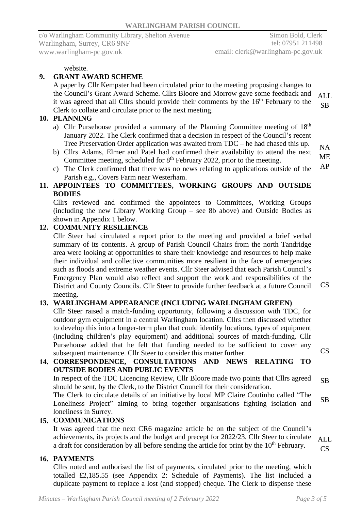#### website.

## **9. GRANT AWARD SCHEME**

A paper by Cllr Kempster had been circulated prior to the meeting proposing changes to the Council's Grant Award Scheme. Cllrs Bloore and Morrow gave some feedback and it was agreed that all Cllrs should provide their comments by the 16<sup>th</sup> February to the Clerk to collate and circulate prior to the next meeting. ALL SB

## **10. PLANNING**

- a) Cllr Pursehouse provided a summary of the Planning Committee meeting of 18<sup>th</sup> January 2022. The Clerk confirmed that a decision in respect of the Council's recent Tree Preservation Order application was awaited from TDC – he had chased this up.
- b) Cllrs Adams, Elmer and Patel had confirmed their availability to attend the next Committee meeting, scheduled for  $8<sup>th</sup>$  February 2022, prior to the meeting.
- c) The Clerk confirmed that there was no news relating to applications outside of the Parish e.g., Covers Farm near Westerham. AP

## **11. APPOINTEES TO COMMITTEES, WORKING GROUPS AND OUTSIDE BODIES**

Cllrs reviewed and confirmed the appointees to Committees, Working Groups (including the new Library Working Group – see 8b above) and Outside Bodies as shown in Appendix 1 below.

### **12. COMMUNITY RESILIENCE**

Cllr Steer had circulated a report prior to the meeting and provided a brief verbal summary of its contents. A group of Parish Council Chairs from the north Tandridge area were looking at opportunities to share their knowledge and resources to help make their individual and collective communities more resilient in the face of emergencies such as floods and extreme weather events. Cllr Steer advised that each Parish Council's Emergency Plan would also reflect and support the work and responsibilities of the District and County Councils. Cllr Steer to provide further feedback at a future Council meeting.

# **13. WARLINGHAM APPEARANCE (INCLUDING WARLINGHAM GREEN)**

Cllr Steer raised a match-funding opportunity, following a discussion with TDC, for outdoor gym equipment in a central Warlingham location. Cllrs then discussed whether to develop this into a longer-term plan that could identify locations, types of equipment (including children's play equipment) and additional sources of match-funding. Cllr Pursehouse added that he felt that funding needed to be sufficient to cover any subsequent maintenance. Cllr Steer to consider this matter further. CS

## **14. CORRESPONDENCE, CONSULTATIONS AND NEWS RELATING TO OUTSIDE BODIES AND PUBLIC EVENTS**

In respect of the TDC Licencing Review, Cllr Bloore made two points that Cllrs agreed should be sent, by the Clerk, to the District Council for their consideration. SB

The Clerk to circulate details of an initiative by local MP Claire Coutinho called "The Loneliness Project" aiming to bring together organisations fighting isolation and loneliness in Surrey. SB

## **15. COMMUNICATIONS**

It was agreed that the next CR6 magazine article be on the subject of the Council's achievements, its projects and the budget and precept for 2022/23. Cllr Steer to circulate a draft for consideration by all before sending the article for print by the 10<sup>th</sup> February. ALL

# **16. PAYMENTS**

Cllrs noted and authorised the list of payments, circulated prior to the meeting, which totalled £2,185.55 (see Appendix 2: Schedule of Payments). The list included a duplicate payment to replace a lost (and stopped) cheque. The Clerk to dispense these

CS

CS

NA ME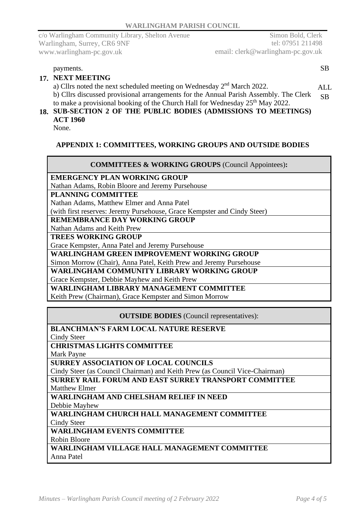Simon Bold, Clerk tel: 07951 211498 email: clerk@warlingham-pc.gov.uk

payments. SB

## **17. NEXT MEETING**

a) Cllrs noted the next scheduled meeting on Wednesday 2<sup>nd</sup> March 2022. b) Cllrs discussed provisional arrangements for the Annual Parish Assembly. The Clerk to make a provisional booking of the Church Hall for Wednesday  $25<sup>th</sup>$  May 2022. ALL. SB

## **18. SUB-SECTION 2 OF THE PUBLIC BODIES (ADMISSIONS TO MEETINGS) ACT 1960**

None.

### **APPENDIX 1: COMMITTEES, WORKING GROUPS AND OUTSIDE BODIES**

#### **COMMITTEES & WORKING GROUPS** (Council Appointees)**:**

#### **EMERGENCY PLAN WORKING GROUP**

Nathan Adams, Robin Bloore and Jeremy Pursehouse

#### **PLANNING COMMITTEE**

Nathan Adams, Matthew Elmer and Anna Patel

(with first reserves: Jeremy Pursehouse, Grace Kempster and Cindy Steer)

## **REMEMBRANCE DAY WORKING GROUP**

Nathan Adams and Keith Prew

**TREES WORKING GROUP**

Grace Kempster, Anna Patel and Jeremy Pursehouse

**WARLINGHAM GREEN IMPROVEMENT WORKING GROUP**

Simon Morrow (Chair), Anna Patel, Keith Prew and Jeremy Pursehouse

**WARLINGHAM COMMUNITY LIBRARY WORKING GROUP**

Grace Kempster, Debbie Mayhew and Keith Prew

#### **WARLINGHAM LIBRARY MANAGEMENT COMMITTEE**

Keith Prew (Chairman), Grace Kempster and Simon Morrow

**OUTSIDE BODIES** (Council representatives):

| <b>BLANCHMAN'S FARM LOCAL NATURE RESERVE</b>                                |  |  |  |  |
|-----------------------------------------------------------------------------|--|--|--|--|
| Cindy Steer                                                                 |  |  |  |  |
| <b>CHRISTMAS LIGHTS COMMITTEE</b>                                           |  |  |  |  |
| Mark Payne                                                                  |  |  |  |  |
| <b>SURREY ASSOCIATION OF LOCAL COUNCILS</b>                                 |  |  |  |  |
| Cindy Steer (as Council Chairman) and Keith Prew (as Council Vice-Chairman) |  |  |  |  |
| <b>SURREY RAIL FORUM AND EAST SURREY TRANSPORT COMMITTEE</b>                |  |  |  |  |
| <b>Matthew Elmer</b>                                                        |  |  |  |  |
| WARLINGHAM AND CHELSHAM RELIEF IN NEED                                      |  |  |  |  |
| Debbie Mayhew                                                               |  |  |  |  |
| WARLINGHAM CHURCH HALL MANAGEMENT COMMITTEE                                 |  |  |  |  |
| <b>Cindy Steer</b>                                                          |  |  |  |  |
| <b>WARLINGHAM EVENTS COMMITTEE</b>                                          |  |  |  |  |
| <b>Robin Bloore</b>                                                         |  |  |  |  |
| WARLINGHAM VILLAGE HALL MANAGEMENT COMMITTEE                                |  |  |  |  |
| Anna Patel                                                                  |  |  |  |  |
|                                                                             |  |  |  |  |